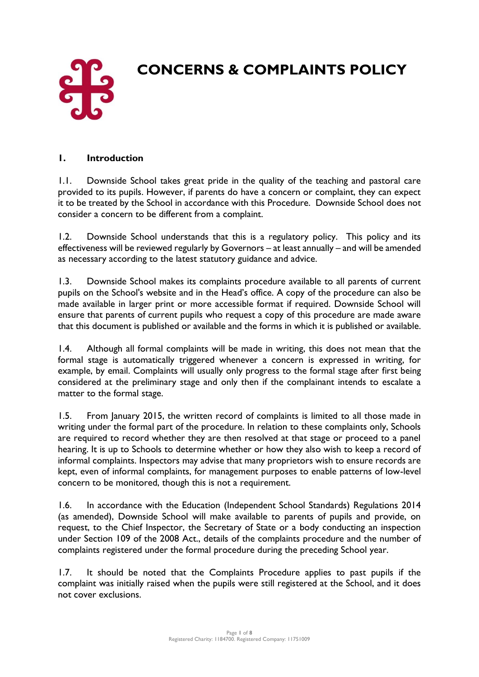

# **CONCERNS & COMPLAINTS POLICY**

#### **1. Introduction**

1.1. Downside School takes great pride in the quality of the teaching and pastoral care provided to its pupils. However, if parents do have a concern or complaint, they can expect it to be treated by the School in accordance with this Procedure. Downside School does not consider a concern to be different from a complaint.

1.2. Downside School understands that this is a regulatory policy. This policy and its effectiveness will be reviewed regularly by Governors – at least annually – and will be amended as necessary according to the latest statutory guidance and advice.

1.3. Downside School makes its complaints procedure available to all parents of current pupils on the School's website and in the Head's office. A copy of the procedure can also be made available in larger print or more accessible format if required. Downside School will ensure that parents of current pupils who request a copy of this procedure are made aware that this document is published or available and the forms in which it is published or available.

1.4. Although all formal complaints will be made in writing, this does not mean that the formal stage is automatically triggered whenever a concern is expressed in writing, for example, by email. Complaints will usually only progress to the formal stage after first being considered at the preliminary stage and only then if the complainant intends to escalate a matter to the formal stage.

1.5. From January 2015, the written record of complaints is limited to all those made in writing under the formal part of the procedure. In relation to these complaints only, Schools are required to record whether they are then resolved at that stage or proceed to a panel hearing. It is up to Schools to determine whether or how they also wish to keep a record of informal complaints. Inspectors may advise that many proprietors wish to ensure records are kept, even of informal complaints, for management purposes to enable patterns of low-level concern to be monitored, though this is not a requirement.

1.6. In accordance with the Education (Independent School Standards) Regulations 2014 (as amended), Downside School will make available to parents of pupils and provide, on request, to the Chief Inspector, the Secretary of State or a body conducting an inspection under Section 109 of the 2008 Act., details of the complaints procedure and the number of complaints registered under the formal procedure during the preceding School year.

1.7. It should be noted that the Complaints Procedure applies to past pupils if the complaint was initially raised when the pupils were still registered at the School, and it does not cover exclusions.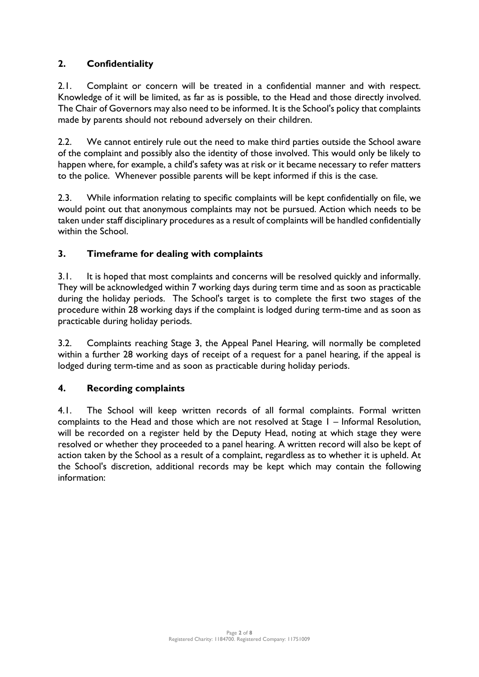## **2. Confidentiality**

2.1. Complaint or concern will be treated in a confidential manner and with respect. Knowledge of it will be limited, as far as is possible, to the Head and those directly involved. The Chair of Governors may also need to be informed. It is the School's policy that complaints made by parents should not rebound adversely on their children.

2.2. We cannot entirely rule out the need to make third parties outside the School aware of the complaint and possibly also the identity of those involved. This would only be likely to happen where, for example, a child's safety was at risk or it became necessary to refer matters to the police. Whenever possible parents will be kept informed if this is the case.

2.3. While information relating to specific complaints will be kept confidentially on file, we would point out that anonymous complaints may not be pursued. Action which needs to be taken under staff disciplinary procedures as a result of complaints will be handled confidentially within the School.

#### **3. Timeframe for dealing with complaints**

3.1. It is hoped that most complaints and concerns will be resolved quickly and informally. They will be acknowledged within 7 working days during term time and as soon as practicable during the holiday periods. The School's target is to complete the first two stages of the procedure within 28 working days if the complaint is lodged during term-time and as soon as practicable during holiday periods.

3.2. Complaints reaching Stage 3, the Appeal Panel Hearing, will normally be completed within a further 28 working days of receipt of a request for a panel hearing, if the appeal is lodged during term-time and as soon as practicable during holiday periods.

### **4. Recording complaints**

4.1. The School will keep written records of all formal complaints. Formal written complaints to the Head and those which are not resolved at Stage 1 – Informal Resolution, will be recorded on a register held by the Deputy Head, noting at which stage they were resolved or whether they proceeded to a panel hearing. A written record will also be kept of action taken by the School as a result of a complaint, regardless as to whether it is upheld. At the School's discretion, additional records may be kept which may contain the following information: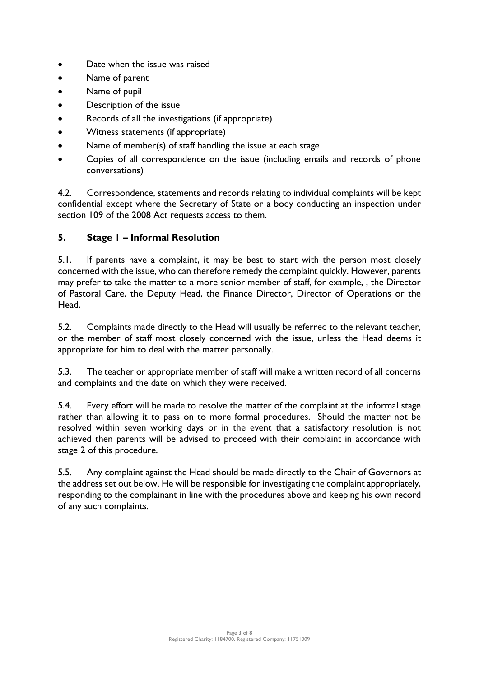- Date when the issue was raised
- Name of parent
- Name of pupil
- Description of the issue
- Records of all the investigations (if appropriate)
- Witness statements (if appropriate)
- Name of member(s) of staff handling the issue at each stage
- Copies of all correspondence on the issue (including emails and records of phone conversations)

4.2. Correspondence, statements and records relating to individual complaints will be kept confidential except where the Secretary of State or a body conducting an inspection under section 109 of the 2008 Act requests access to them.

### **5. Stage 1 – Informal Resolution**

5.1. If parents have a complaint, it may be best to start with the person most closely concerned with the issue, who can therefore remedy the complaint quickly. However, parents may prefer to take the matter to a more senior member of staff, for example, , the Director of Pastoral Care, the Deputy Head, the Finance Director, Director of Operations or the Head.

5.2. Complaints made directly to the Head will usually be referred to the relevant teacher, or the member of staff most closely concerned with the issue, unless the Head deems it appropriate for him to deal with the matter personally.

5.3. The teacher or appropriate member of staff will make a written record of all concerns and complaints and the date on which they were received.

5.4. Every effort will be made to resolve the matter of the complaint at the informal stage rather than allowing it to pass on to more formal procedures. Should the matter not be resolved within seven working days or in the event that a satisfactory resolution is not achieved then parents will be advised to proceed with their complaint in accordance with stage 2 of this procedure.

5.5. Any complaint against the Head should be made directly to the Chair of Governors at the address set out below. He will be responsible for investigating the complaint appropriately, responding to the complainant in line with the procedures above and keeping his own record of any such complaints.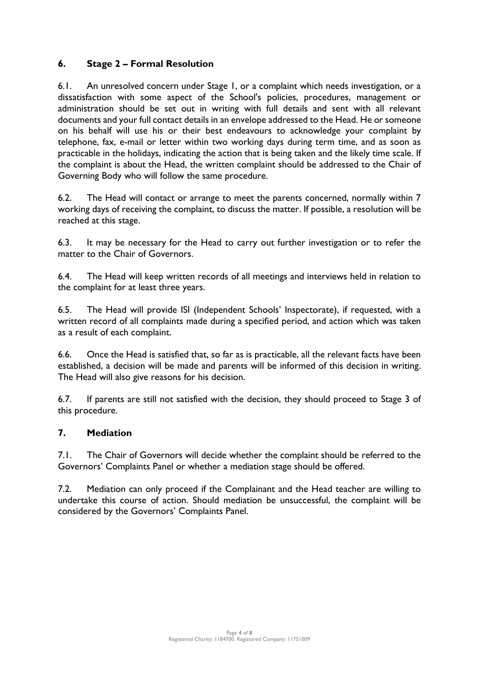#### **6. Stage 2 – Formal Resolution**

6.1. An unresolved concern under Stage 1, or a complaint which needs investigation, or a dissatisfaction with some aspect of the School's policies, procedures, management or administration should be set out in writing with full details and sent with all relevant documents and your full contact details in an envelope addressed to the Head. He or someone on his behalf will use his or their best endeavours to acknowledge your complaint by telephone, fax, e-mail or letter within two working days during term time, and as soon as practicable in the holidays, indicating the action that is being taken and the likely time scale. If the complaint is about the Head, the written complaint should be addressed to the Chair of Governing Body who will follow the same procedure.

6.2. The Head will contact or arrange to meet the parents concerned, normally within 7 working days of receiving the complaint, to discuss the matter. If possible, a resolution will be reached at this stage.

6.3. It may be necessary for the Head to carry out further investigation or to refer the matter to the Chair of Governors.

6.4. The Head will keep written records of all meetings and interviews held in relation to the complaint for at least three years.

6.5. The Head will provide ISI (Independent Schools' Inspectorate), if requested, with a written record of all complaints made during a specified period, and action which was taken as a result of each complaint.

6.6. Once the Head is satisfied that, so far as is practicable, all the relevant facts have been established, a decision will be made and parents will be informed of this decision in writing. The Head will also give reasons for his decision.

6.7. If parents are still not satisfied with the decision, they should proceed to Stage 3 of this procedure.

#### **7. Mediation**

7.1. The Chair of Governors will decide whether the complaint should be referred to the Governors' Complaints Panel or whether a mediation stage should be offered.

7.2. Mediation can only proceed if the Complainant and the Head teacher are willing to undertake this course of action. Should mediation be unsuccessful, the complaint will be considered by the Governors' Complaints Panel.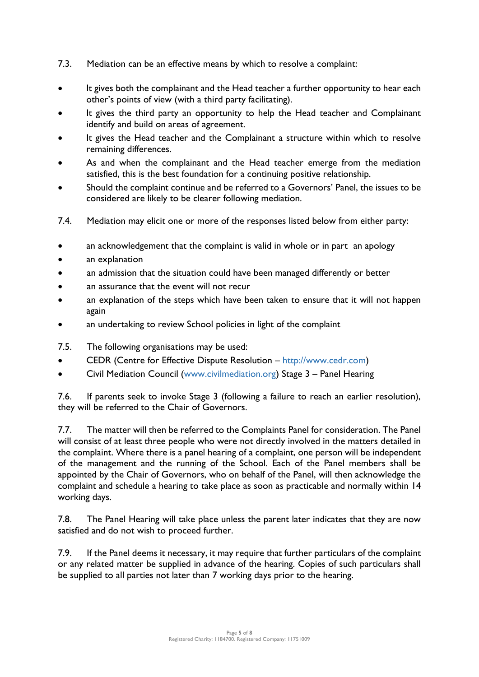- 7.3. Mediation can be an effective means by which to resolve a complaint:
- It gives both the complainant and the Head teacher a further opportunity to hear each other's points of view (with a third party facilitating).
- It gives the third party an opportunity to help the Head teacher and Complainant identify and build on areas of agreement.
- It gives the Head teacher and the Complainant a structure within which to resolve remaining differences.
- As and when the complainant and the Head teacher emerge from the mediation satisfied, this is the best foundation for a continuing positive relationship.
- Should the complaint continue and be referred to a Governors' Panel, the issues to be considered are likely to be clearer following mediation.
- 7.4. Mediation may elicit one or more of the responses listed below from either party:
- an acknowledgement that the complaint is valid in whole or in part an apology
- an explanation
- an admission that the situation could have been managed differently or better
- an assurance that the event will not recur
- an explanation of the steps which have been taken to ensure that it will not happen again
- an undertaking to review School policies in light of the complaint
- 7.5. The following organisations may be used:
- CEDR (Centre for Effective Dispute Resolution [http://www.cedr.com\)](http://www.cedr.com/)
- Civil Mediation Council [\(www.civilmediation.org\)](http://www.civilmediation.org/) Stage 3 Panel Hearing

7.6. If parents seek to invoke Stage 3 (following a failure to reach an earlier resolution), they will be referred to the Chair of Governors.

7.7. The matter will then be referred to the Complaints Panel for consideration. The Panel will consist of at least three people who were not directly involved in the matters detailed in the complaint. Where there is a panel hearing of a complaint, one person will be independent of the management and the running of the School. Each of the Panel members shall be appointed by the Chair of Governors, who on behalf of the Panel, will then acknowledge the complaint and schedule a hearing to take place as soon as practicable and normally within 14 working days.

7.8. The Panel Hearing will take place unless the parent later indicates that they are now satisfied and do not wish to proceed further.

7.9. If the Panel deems it necessary, it may require that further particulars of the complaint or any related matter be supplied in advance of the hearing. Copies of such particulars shall be supplied to all parties not later than 7 working days prior to the hearing.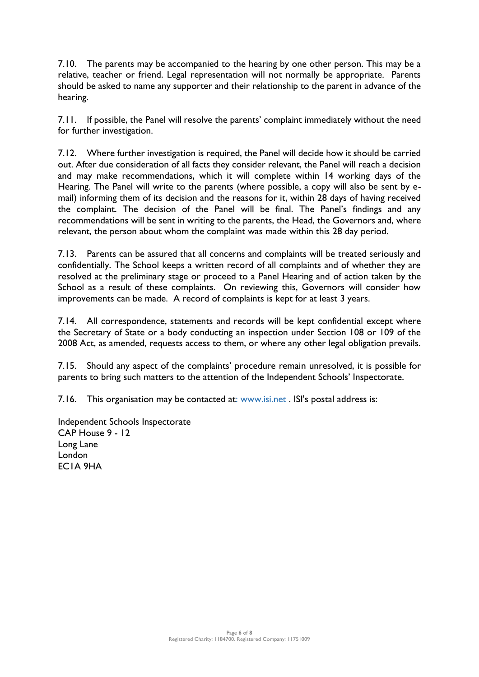7.10. The parents may be accompanied to the hearing by one other person. This may be a relative, teacher or friend. Legal representation will not normally be appropriate. Parents should be asked to name any supporter and their relationship to the parent in advance of the hearing.

7.11. If possible, the Panel will resolve the parents' complaint immediately without the need for further investigation.

7.12. Where further investigation is required, the Panel will decide how it should be carried out. After due consideration of all facts they consider relevant, the Panel will reach a decision and may make recommendations, which it will complete within 14 working days of the Hearing. The Panel will write to the parents (where possible, a copy will also be sent by email) informing them of its decision and the reasons for it, within 28 days of having received the complaint. The decision of the Panel will be final. The Panel's findings and any recommendations will be sent in writing to the parents, the Head, the Governors and, where relevant, the person about whom the complaint was made within this 28 day period.

7.13. Parents can be assured that all concerns and complaints will be treated seriously and confidentially. The School keeps a written record of all complaints and of whether they are resolved at the preliminary stage or proceed to a Panel Hearing and of action taken by the School as a result of these complaints. On reviewing this, Governors will consider how improvements can be made. A record of complaints is kept for at least 3 years.

7.14. All correspondence, statements and records will be kept confidential except where the Secretary of State or a body conducting an inspection under Section 108 or 109 of the 2008 Act, as amended, requests access to them, or where any other legal obligation prevails.

7.15. Should any aspect of the complaints' procedure remain unresolved, it is possible for parents to bring such matters to the attention of the Independent Schools' Inspectorate.

7.16. This organisation may be contacted at: [www.isi.net](http://www.isi.net/) . ISI's postal address is:

Independent Schools Inspectorate CAP House 9 - 12 Long Lane London EC1A 9HA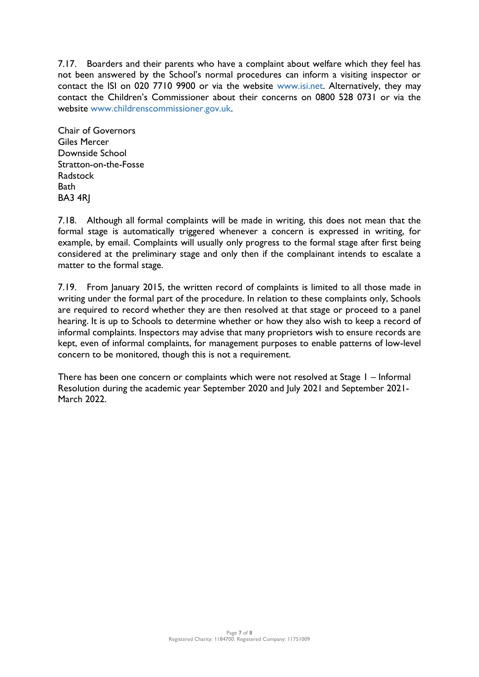7.17. Boarders and their parents who have a complaint about welfare which they feel has not been answered by the School's normal procedures can inform a visiting inspector or contact the ISI on 020 7710 9900 or via the website [www.isi.net.](http://www.isi.net/) Alternatively, they may contact the Children's Commissioner about their concerns on 0800 528 0731 or via the website [www.childrenscommissioner.gov.uk.](file://///DSS-FILE08/Support_Shares$/SLT_Shared/School%20Plans,%20Policies%20&%20SOPs/1.%20Policies/1.%20Current%20Policies/www.childrenscommissioner.gov.uk)

Chair of Governors Giles Mercer Downside School Stratton-on-the-Fosse Radstock **Bath** BA3 4RJ

7.18. Although all formal complaints will be made in writing, this does not mean that the formal stage is automatically triggered whenever a concern is expressed in writing, for example, by email. Complaints will usually only progress to the formal stage after first being considered at the preliminary stage and only then if the complainant intends to escalate a matter to the formal stage.

7.19. From January 2015, the written record of complaints is limited to all those made in writing under the formal part of the procedure. In relation to these complaints only, Schools are required to record whether they are then resolved at that stage or proceed to a panel hearing. It is up to Schools to determine whether or how they also wish to keep a record of informal complaints. Inspectors may advise that many proprietors wish to ensure records are kept, even of informal complaints, for management purposes to enable patterns of low-level concern to be monitored, though this is not a requirement.

There has been one concern or complaints which were not resolved at Stage 1 – Informal Resolution during the academic year September 2020 and July 2021 and September 2021- March 2022.